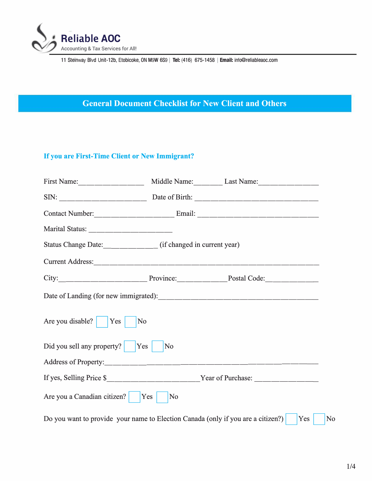

# **General Document Checklist for New Client and Others**

# If **you are First-Time Client or New Immigrant?**

| Status Change Date: _____________ (if changed in current year)                                                                                                                                                                |    |  |  |  |
|-------------------------------------------------------------------------------------------------------------------------------------------------------------------------------------------------------------------------------|----|--|--|--|
|                                                                                                                                                                                                                               |    |  |  |  |
| City: City: City: City: City: City: City: City: City: City: Cole: Code: Code: Code: Code: Code: Code: Code: Code: Code: Code: Code: Code: Code: Code: Code: Code: Code: Code: Code: Code: Code: Code: Code: Code: Code: Code: |    |  |  |  |
|                                                                                                                                                                                                                               |    |  |  |  |
| Are you disable? $\vert$ Yes<br>N <sub>0</sub>                                                                                                                                                                                |    |  |  |  |
| Did you sell any property?   Yes<br>No                                                                                                                                                                                        |    |  |  |  |
|                                                                                                                                                                                                                               |    |  |  |  |
| If yes, Selling Price \$_____________________________Year of Purchase: ___________                                                                                                                                            |    |  |  |  |
| Are you a Canadian citizen? Yes                                                                                                                                                                                               | No |  |  |  |
| Do you want to provide your name to Election Canada (only if you are a citizen?)<br>Yes<br>N <sub>0</sub>                                                                                                                     |    |  |  |  |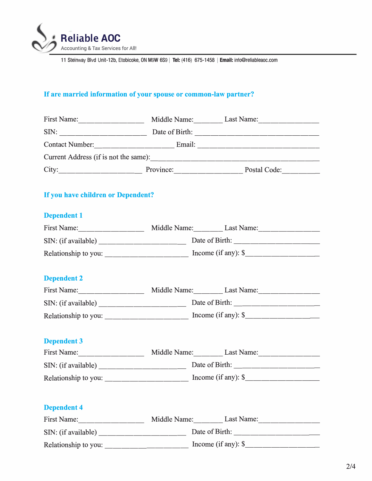

# **If are married information of your spouse or common-law partner?**

|                                    |  | First Name: Middle Name: Last Name: Middle Name:                                                                                                                                                                              |
|------------------------------------|--|-------------------------------------------------------------------------------------------------------------------------------------------------------------------------------------------------------------------------------|
|                                    |  |                                                                                                                                                                                                                               |
|                                    |  |                                                                                                                                                                                                                               |
|                                    |  |                                                                                                                                                                                                                               |
|                                    |  | City: City: City: City: City: City: City: Cole: Code: Code: Code: Code: Code: Code: Code: Code: Code: Code: Code: Code: Code: Code: Code: Code: Code: Code: Code: Code: Code: Code: Code: Code: Code: Code: Code: Code: Code: |
| If you have children or Dependent? |  |                                                                                                                                                                                                                               |
| <b>Dependent 1</b>                 |  |                                                                                                                                                                                                                               |
|                                    |  | First Name: Middle Name: Last Name: Middle Name:                                                                                                                                                                              |
|                                    |  |                                                                                                                                                                                                                               |
|                                    |  |                                                                                                                                                                                                                               |
| <b>Dependent 2</b>                 |  |                                                                                                                                                                                                                               |
|                                    |  | First Name: Middle Name: Last Name: Middle Name:                                                                                                                                                                              |
|                                    |  |                                                                                                                                                                                                                               |
|                                    |  |                                                                                                                                                                                                                               |
| <b>Dependent 3</b>                 |  |                                                                                                                                                                                                                               |
|                                    |  | First Name: Middle Name: Last Name: Middle Name:                                                                                                                                                                              |
|                                    |  |                                                                                                                                                                                                                               |
|                                    |  |                                                                                                                                                                                                                               |
| <b>Dependent 4</b>                 |  |                                                                                                                                                                                                                               |
|                                    |  | First Name: Middle Name: Last Name: Middle Name:                                                                                                                                                                              |
|                                    |  |                                                                                                                                                                                                                               |
|                                    |  |                                                                                                                                                                                                                               |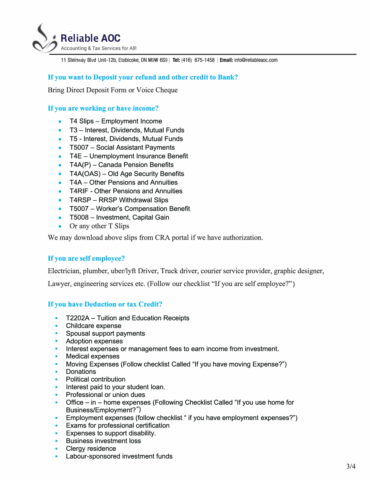

### **If you want to Deposit your refund and other credit to Bank?**

Bring Direct Deposit Form or Voice Cheque

#### **If you are working or have income?**

- T4 Slips Employment Income
- T3 Interest, Dividends, Mutual Funds
- TS Interest, Dividends, Mutual Funds
- T5007 Social Assistant Payments
- T4E Unemployment Insurance Benefit
- $TAAP$ ) Canada Pension Benefits
- T4A(OAS) Old Age Security Benefits
- T4A Other Pensions and Annuities
- T4RIF Other Pensions and Annuities
- T4RSP RRSP Withdrawal Slips
- T5007 Worker's Compensation Benefit
- T5008 Investment, Capital Gain
- Or any other T Slips

We may download above slips from CRA portal if we have authorization.

#### **If you are self employee?**

Electrician, plumber, uber/lyft Driver, Truck driver, courier service provider, graphic designer,

Lawyer, engineering services etc. (Follow our checklist "If you are self employee?")

#### **If you have Deduction or tax Credit?**

- T2202A- Tuition and Education Receipts
- Childcare expense
- Spousal support payments
- Adoption expenses
- Interest expenses or management fees to earn income from investment.
- Medical expenses
- Moving Expenses (Follow checklist Called "If you have moving Expense?")
- Donations
- Political contribution
- Interest paid to your student loan.
- Professional or union dues
- Office in home expenses (Following Checklist Called "If you use home for Business/Employment?")
- Employment expenses (follow checklist " if you have employment expenses?")
- **•** Exams for professional certification
- **Expenses to support disability.**
- Business investment loss
- Clergy residence
- **•** Labour-sponsored investment funds